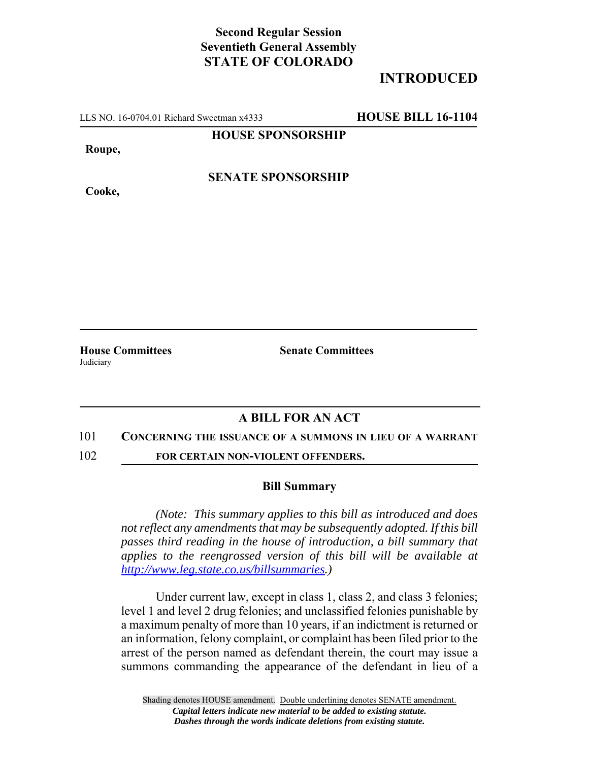# **Second Regular Session Seventieth General Assembly STATE OF COLORADO**

# **INTRODUCED**

LLS NO. 16-0704.01 Richard Sweetman x4333 **HOUSE BILL 16-1104**

#### **HOUSE SPONSORSHIP**

**Roupe,**

**Cooke,**

## **SENATE SPONSORSHIP**

**Judiciary** 

**House Committees Senate Committees** 

## **A BILL FOR AN ACT**

#### 101 **CONCERNING THE ISSUANCE OF A SUMMONS IN LIEU OF A WARRANT**

102 **FOR CERTAIN NON-VIOLENT OFFENDERS.**

#### **Bill Summary**

*(Note: This summary applies to this bill as introduced and does not reflect any amendments that may be subsequently adopted. If this bill passes third reading in the house of introduction, a bill summary that applies to the reengrossed version of this bill will be available at http://www.leg.state.co.us/billsummaries.)*

Under current law, except in class 1, class 2, and class 3 felonies; level 1 and level 2 drug felonies; and unclassified felonies punishable by a maximum penalty of more than 10 years, if an indictment is returned or an information, felony complaint, or complaint has been filed prior to the arrest of the person named as defendant therein, the court may issue a summons commanding the appearance of the defendant in lieu of a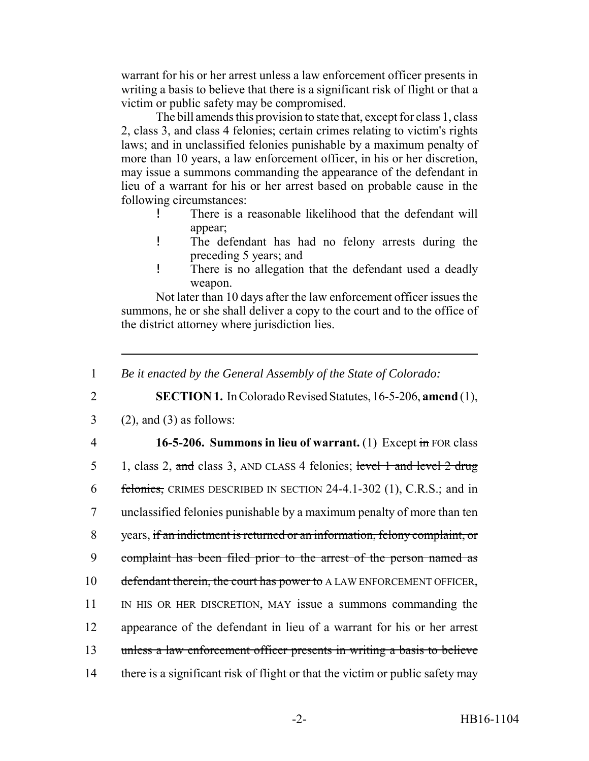warrant for his or her arrest unless a law enforcement officer presents in writing a basis to believe that there is a significant risk of flight or that a victim or public safety may be compromised.

The bill amends this provision to state that, except for class 1, class 2, class 3, and class 4 felonies; certain crimes relating to victim's rights laws; and in unclassified felonies punishable by a maximum penalty of more than 10 years, a law enforcement officer, in his or her discretion, may issue a summons commanding the appearance of the defendant in lieu of a warrant for his or her arrest based on probable cause in the following circumstances:

- ! There is a reasonable likelihood that the defendant will appear;
- ! The defendant has had no felony arrests during the preceding 5 years; and
- ! There is no allegation that the defendant used a deadly weapon.

Not later than 10 days after the law enforcement officer issues the summons, he or she shall deliver a copy to the court and to the office of the district attorney where jurisdiction lies.

1 *Be it enacted by the General Assembly of the State of Colorado:*

2 **SECTION 1.** In Colorado Revised Statutes, 16-5-206, **amend** (1),

- $3$  (2), and (3) as follows:
- 

4 **16-5-206. Summons in lieu of warrant.** (1) Except in FOR class

5 1, class 2, and class 3, AND CLASS 4 felonies; level 1 and level 2 drug 6 felonies, CRIMES DESCRIBED IN SECTION 24-4.1-302 (1), C.R.S.; and in 7 unclassified felonies punishable by a maximum penalty of more than ten 8 years, if an indictment is returned or an information, felony complaint, or 9 complaint has been filed prior to the arrest of the person named as 10 defendant therein, the court has power to A LAW ENFORCEMENT OFFICER, 11 IN HIS OR HER DISCRETION, MAY issue a summons commanding the 12 appearance of the defendant in lieu of a warrant for his or her arrest 13 unless a law enforcement officer presents in writing a basis to believe 14 there is a significant risk of flight or that the victim or public safety may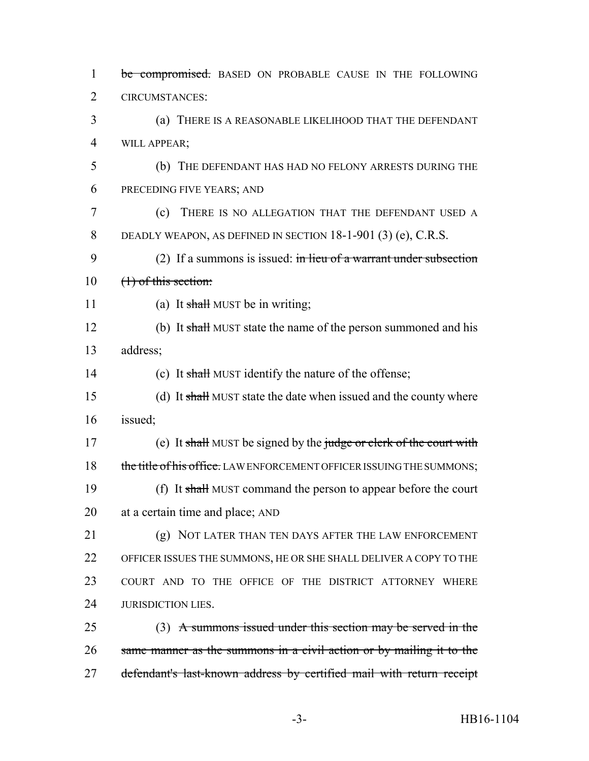| $\mathbf{1}$   | be compromised. BASED ON PROBABLE CAUSE IN THE FOLLOWING              |
|----------------|-----------------------------------------------------------------------|
| $\overline{2}$ | <b>CIRCUMSTANCES:</b>                                                 |
| 3              | (a) THERE IS A REASONABLE LIKELIHOOD THAT THE DEFENDANT               |
| $\overline{4}$ | WILL APPEAR;                                                          |
| 5              | (b) THE DEFENDANT HAS HAD NO FELONY ARRESTS DURING THE                |
| 6              | PRECEDING FIVE YEARS; AND                                             |
| 7              | THERE IS NO ALLEGATION THAT THE DEFENDANT USED A<br>(c)               |
| 8              | DEADLY WEAPON, AS DEFINED IN SECTION $18-1-901$ (3) (e), C.R.S.       |
| 9              | (2) If a summons is issued: in lieu of a warrant under subsection     |
| 10             | $(1)$ of this section:                                                |
| 11             | (a) It shall MUST be in writing;                                      |
| 12             | (b) It shall MUST state the name of the person summoned and his       |
| 13             | address;                                                              |
| 14             | (c) It shall MUST identify the nature of the offense;                 |
| 15             | (d) It shall MUST state the date when issued and the county where     |
| 16             | issued;                                                               |
| 17             | (e) It shall MUST be signed by the judge or clerk of the court with   |
| 18             | the title of his office. LAW ENFORCEMENT OFFICER ISSUING THE SUMMONS; |
| 19             | (f) It shall MUST command the person to appear before the court       |
| 20             | at a certain time and place; AND                                      |
| 21             | (g) NOT LATER THAN TEN DAYS AFTER THE LAW ENFORCEMENT                 |
| 22             | OFFICER ISSUES THE SUMMONS, HE OR SHE SHALL DELIVER A COPY TO THE     |
| 23             | COURT AND TO THE OFFICE OF THE DISTRICT ATTORNEY WHERE                |
| 24             | <b>JURISDICTION LIES.</b>                                             |
| 25             | $(3)$ A summons issued under this section may be served in the        |
| 26             | same manner as the summons in a civil action or by mailing it to the  |
| 27             | defendant's last-known address by certified mail with return receipt  |